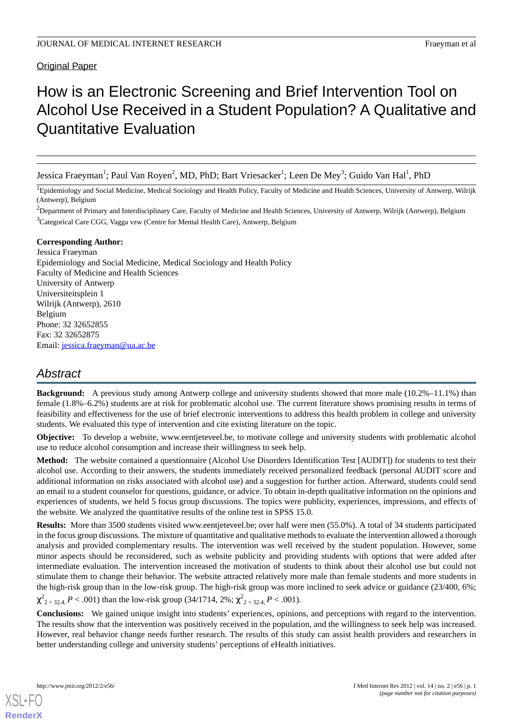# Original Paper

# How is an Electronic Screening and Brief Intervention Tool on Alcohol Use Received in a Student Population? A Qualitative and Quantitative Evaluation

Jessica Fraeyman<sup>1</sup>; Paul Van Royen<sup>2</sup>, MD, PhD; Bart Vriesacker<sup>1</sup>; Leen De Mey<sup>3</sup>; Guido Van Hal<sup>1</sup>, PhD

<sup>1</sup>Epidemiology and Social Medicine, Medical Sociology and Health Policy, Faculty of Medicine and Health Sciences, University of Antwerp, Wilrijk (Antwerp), Belgium

 ${}^{2}$ Department of Primary and Interdisciplinary Care, Faculty of Medicine and Health Sciences, University of Antwerp, Wilrijk (Antwerp), Belgium <sup>3</sup>Categorical Care CGG, Vagga vzw (Centre for Mental Health Care), Antwerp, Belgium

#### **Corresponding Author:**

Jessica Fraeyman Epidemiology and Social Medicine, Medical Sociology and Health Policy Faculty of Medicine and Health Sciences University of Antwerp Universiteitsplein 1 Wilrijk (Antwerp), 2610 Belgium Phone: 32 32652855 Fax: 32 32652875 Email: [jessica.fraeyman@ua.ac.be](mailto:jessica.fraeyman@ua.ac.be)

# *Abstract*

**Background:** A previous study among Antwerp college and university students showed that more male (10.2%–11.1%) than female (1.8%–6.2%) students are at risk for problematic alcohol use. The current literature shows promising results in terms of feasibility and effectiveness for the use of brief electronic interventions to address this health problem in college and university students. We evaluated this type of intervention and cite existing literature on the topic.

**Objective:** To develop a website, www.eentjeteveel.be, to motivate college and university students with problematic alcohol use to reduce alcohol consumption and increase their willingness to seek help.

**Method:** The website contained a questionnaire (Alcohol Use Disorders Identification Test [AUDIT]) for students to test their alcohol use. According to their answers, the students immediately received personalized feedback (personal AUDIT score and additional information on risks associated with alcohol use) and a suggestion for further action. Afterward, students could send an email to a student counselor for questions, guidance, or advice. To obtain in-depth qualitative information on the opinions and experiences of students, we held 5 focus group discussions. The topics were publicity, experiences, impressions, and effects of the website. We analyzed the quantitative results of the online test in SPSS 15.0.

**Results:** More than 3500 students visited www.eentjeteveel.be; over half were men (55.0%). A total of 34 students participated in the focus group discussions. The mixture of quantitative and qualitative methods to evaluate the intervention allowed a thorough analysis and provided complementary results. The intervention was well received by the student population. However, some minor aspects should be reconsidered, such as website publicity and providing students with options that were added after intermediate evaluation. The intervention increased the motivation of students to think about their alcohol use but could not stimulate them to change their behavior. The website attracted relatively more male than female students and more students in the high-risk group than in the low-risk group. The high-risk group was more inclined to seek advice or guidance (23/400, 6%;  $\chi^2_{2=32.4}$ , *P* < .001) than the low-risk group (34/1714, 2%;  $\chi^2_{2=32.4}$ , *P* < .001).

**Conclusions:** We gained unique insight into students' experiences, opinions, and perceptions with regard to the intervention. The results show that the intervention was positively received in the population, and the willingness to seek help was increased. However, real behavior change needs further research. The results of this study can assist health providers and researchers in better understanding college and university students' perceptions of eHealth initiatives.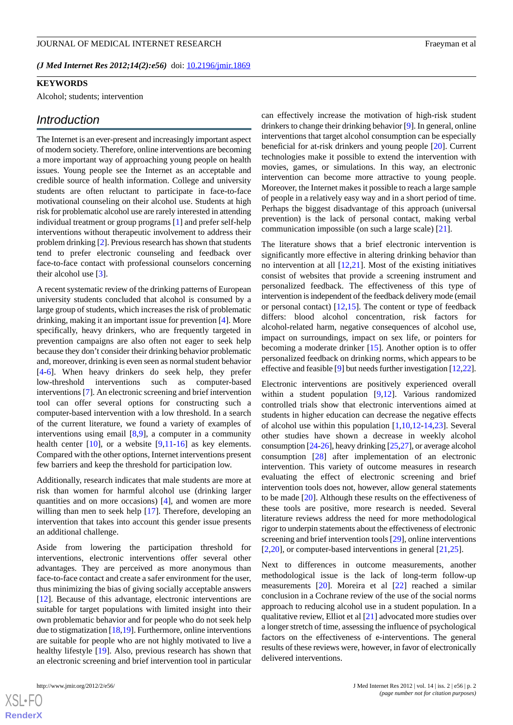## *(J Med Internet Res 2012;14(2):e56)* doi:  $10.2196/$ jmir.1869

# **KEYWORDS**

Alcohol; students; intervention

# *Introduction*

The Internet is an ever-present and increasingly important aspect of modern society. Therefore, online interventions are becoming a more important way of approaching young people on health issues. Young people see the Internet as an acceptable and credible source of health information. College and university students are often reluctant to participate in face-to-face motivational counseling on their alcohol use. Students at high risk for problematic alcohol use are rarely interested in attending individual treatment or group programs [[1\]](#page-9-0) and prefer self-help interventions without therapeutic involvement to address their problem drinking [\[2](#page-9-1)]. Previous research has shown that students tend to prefer electronic counseling and feedback over face-to-face contact with professional counselors concerning their alcohol use [\[3](#page-9-2)].

A recent systematic review of the drinking patterns of European university students concluded that alcohol is consumed by a large group of students, which increases the risk of problematic drinking, making it an important issue for prevention [\[4](#page-9-3)]. More specifically, heavy drinkers, who are frequently targeted in prevention campaigns are also often not eager to seek help because they don't consider their drinking behavior problematic and, moreover, drinking is even seen as normal student behavior [[4](#page-9-3)[-6](#page-9-4)]. When heavy drinkers do seek help, they prefer low-threshold interventions such as computer-based interventions [\[7](#page-9-5)]. An electronic screening and brief intervention tool can offer several options for constructing such a computer-based intervention with a low threshold. In a search of the current literature, we found a variety of examples of interventions using email [[8,](#page-9-6)[9](#page-9-7)], a computer in a community health center  $[10]$  $[10]$ , or a website  $[9,11-16]$  $[9,11-16]$  $[9,11-16]$  $[9,11-16]$  $[9,11-16]$  as key elements. Compared with the other options, Internet interventions present few barriers and keep the threshold for participation low.

Additionally, research indicates that male students are more at risk than women for harmful alcohol use (drinking larger quantities and on more occasions) [[4\]](#page-9-3), and women are more willing than men to seek help [[17\]](#page-9-11). Therefore, developing an intervention that takes into account this gender issue presents an additional challenge.

Aside from lowering the participation threshold for interventions, electronic interventions offer several other advantages. They are perceived as more anonymous than face-to-face contact and create a safer environment for the user, thus minimizing the bias of giving socially acceptable answers [[12\]](#page-9-12). Because of this advantage, electronic interventions are suitable for target populations with limited insight into their own problematic behavior and for people who do not seek help due to stigmatization [[18,](#page-9-13)[19\]](#page-10-0). Furthermore, online interventions are suitable for people who are not highly motivated to live a healthy lifestyle [[19\]](#page-10-0). Also, previous research has shown that an electronic screening and brief intervention tool in particular

 $X$ SL•F $C$ **[RenderX](http://www.renderx.com/)** can effectively increase the motivation of high-risk student drinkers to change their drinking behavior [\[9\]](#page-9-7). In general, online interventions that target alcohol consumption can be especially beneficial for at-risk drinkers and young people [\[20](#page-10-1)]. Current technologies make it possible to extend the intervention with movies, games, or simulations. In this way, an electronic intervention can become more attractive to young people. Moreover, the Internet makes it possible to reach a large sample of people in a relatively easy way and in a short period of time. Perhaps the biggest disadvantage of this approach (universal prevention) is the lack of personal contact, making verbal communication impossible (on such a large scale) [\[21](#page-10-2)].

The literature shows that a brief electronic intervention is significantly more effective in altering drinking behavior than no intervention at all [[12](#page-9-12)[,21](#page-10-2)]. Most of the existing initiatives consist of websites that provide a screening instrument and personalized feedback. The effectiveness of this type of intervention is independent of the feedback delivery mode (email or personal contact) [[12,](#page-9-12)[15](#page-9-14)]. The content or type of feedback differs: blood alcohol concentration, risk factors for alcohol-related harm, negative consequences of alcohol use, impact on surroundings, impact on sex life, or pointers for becoming a moderate drinker [\[15](#page-9-14)]. Another option is to offer personalized feedback on drinking norms, which appears to be effective and feasible [[9](#page-9-7)] but needs further investigation [[12,](#page-9-12)[22](#page-10-3)].

Electronic interventions are positively experienced overall within a student population [\[9](#page-9-7),[12\]](#page-9-12). Various randomized controlled trials show that electronic interventions aimed at students in higher education can decrease the negative effects of alcohol use within this population [[1,](#page-9-0)[10](#page-9-8),[12-](#page-9-12)[14](#page-9-15)[,23](#page-10-4)]. Several other studies have shown a decrease in weekly alcohol consumption [\[24](#page-10-5)[-26](#page-10-6)], heavy drinking [[25](#page-10-7),[27\]](#page-10-8), or average alcohol consumption [[28\]](#page-10-9) after implementation of an electronic intervention. This variety of outcome measures in research evaluating the effect of electronic screening and brief intervention tools does not, however, allow general statements to be made [\[20](#page-10-1)]. Although these results on the effectiveness of these tools are positive, more research is needed. Several literature reviews address the need for more methodological rigor to underpin statements about the effectiveness of electronic screening and brief intervention tools [[29\]](#page-10-10), online interventions [[2](#page-9-1)[,20](#page-10-1)], or computer-based interventions in general [[21](#page-10-2)[,25](#page-10-7)].

Next to differences in outcome measurements, another methodological issue is the lack of long-term follow-up measurements [[20\]](#page-10-1). Moreira et al [[22\]](#page-10-3) reached a similar conclusion in a Cochrane review of the use of the social norms approach to reducing alcohol use in a student population. In a qualitative review, Elliot et al [[21\]](#page-10-2) advocated more studies over a longer stretch of time, assessing the influence of psychological factors on the effectiveness of e-interventions. The general results of these reviews were, however, in favor of electronically delivered interventions.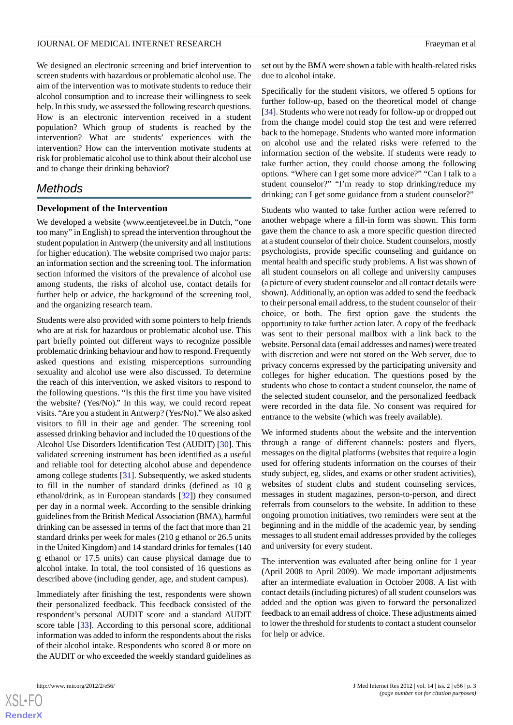We designed an electronic screening and brief intervention to screen students with hazardous or problematic alcohol use. The aim of the intervention was to motivate students to reduce their alcohol consumption and to increase their willingness to seek help. In this study, we assessed the following research questions. How is an electronic intervention received in a student population? Which group of students is reached by the intervention? What are students' experiences with the intervention? How can the intervention motivate students at risk for problematic alcohol use to think about their alcohol use and to change their drinking behavior?

# *Methods*

#### **Development of the Intervention**

We developed a website (www.eentjeteveel.be in Dutch, "one too many" in English) to spread the intervention throughout the student population in Antwerp (the university and all institutions for higher education). The website comprised two major parts: an information section and the screening tool. The information section informed the visitors of the prevalence of alcohol use among students, the risks of alcohol use, contact details for further help or advice, the background of the screening tool, and the organizing research team.

Students were also provided with some pointers to help friends who are at risk for hazardous or problematic alcohol use. This part briefly pointed out different ways to recognize possible problematic drinking behaviour and how to respond. Frequently asked questions and existing misperceptions surrounding sexuality and alcohol use were also discussed. To determine the reach of this intervention, we asked visitors to respond to the following questions. "Is this the first time you have visited the website? (Yes/No)." In this way, we could record repeat visits. "Are you a student in Antwerp? (Yes/No)." We also asked visitors to fill in their age and gender. The screening tool assessed drinking behavior and included the 10 questions of the Alcohol Use Disorders Identification Test (AUDIT) [\[30](#page-10-11)]. This validated screening instrument has been identified as a useful and reliable tool for detecting alcohol abuse and dependence among college students [\[31](#page-10-12)]. Subsequently, we asked students to fill in the number of standard drinks (defined as 10 g ethanol/drink, as in European standards [[32\]](#page-10-13)) they consumed per day in a normal week. According to the sensible drinking guidelines from the British Medical Association (BMA), harmful drinking can be assessed in terms of the fact that more than 21 standard drinks per week for males (210 g ethanol or 26.5 units in the United Kingdom) and 14 standard drinks for females (140 g ethanol or 17.5 units) can cause physical damage due to alcohol intake. In total, the tool consisted of 16 questions as described above (including gender, age, and student campus).

Immediately after finishing the test, respondents were shown their personalized feedback. This feedback consisted of the respondent's personal AUDIT score and a standard AUDIT score table [\[33](#page-10-14)]. According to this personal score, additional information was added to inform the respondents about the risks of their alcohol intake. Respondents who scored 8 or more on the AUDIT or who exceeded the weekly standard guidelines as set out by the BMA were shown a table with health-related risks due to alcohol intake.

Specifically for the student visitors, we offered 5 options for further follow-up, based on the theoretical model of change [[34\]](#page-10-15). Students who were not ready for follow-up or dropped out from the change model could stop the test and were referred back to the homepage. Students who wanted more information on alcohol use and the related risks were referred to the information section of the website. If students were ready to take further action, they could choose among the following options. "Where can I get some more advice?" "Can I talk to a student counselor?" "I'm ready to stop drinking/reduce my drinking; can I get some guidance from a student counselor?"

Students who wanted to take further action were referred to another webpage where a fill-in form was shown. This form gave them the chance to ask a more specific question directed at a student counselor of their choice. Student counselors, mostly psychologists, provide specific counseling and guidance on mental health and specific study problems. A list was shown of all student counselors on all college and university campuses (a picture of every student counselor and all contact details were shown). Additionally, an option was added to send the feedback to their personal email address, to the student counselor of their choice, or both. The first option gave the students the opportunity to take further action later. A copy of the feedback was sent to their personal mailbox with a link back to the website. Personal data (email addresses and names) were treated with discretion and were not stored on the Web server, due to privacy concerns expressed by the participating university and colleges for higher education. The questions posed by the students who chose to contact a student counselor, the name of the selected student counselor, and the personalized feedback were recorded in the data file. No consent was required for entrance to the website (which was freely available).

We informed students about the website and the intervention through a range of different channels: posters and flyers, messages on the digital platforms (websites that require a login used for offering students information on the courses of their study subject, eg, slides, and exams or other student activities), websites of student clubs and student counseling services, messages in student magazines, person-to-person, and direct referrals from counselors to the website. In addition to these ongoing promotion initiatives, two reminders were sent at the beginning and in the middle of the academic year, by sending messages to all student email addresses provided by the colleges and university for every student.

The intervention was evaluated after being online for 1 year (April 2008 to April 2009). We made important adjustments after an intermediate evaluation in October 2008. A list with contact details (including pictures) of all student counselors was added and the option was given to forward the personalized feedback to an email address of choice. These adjustments aimed to lower the threshold for students to contact a student counselor for help or advice.



 $XSI - F($ **[RenderX](http://www.renderx.com/)**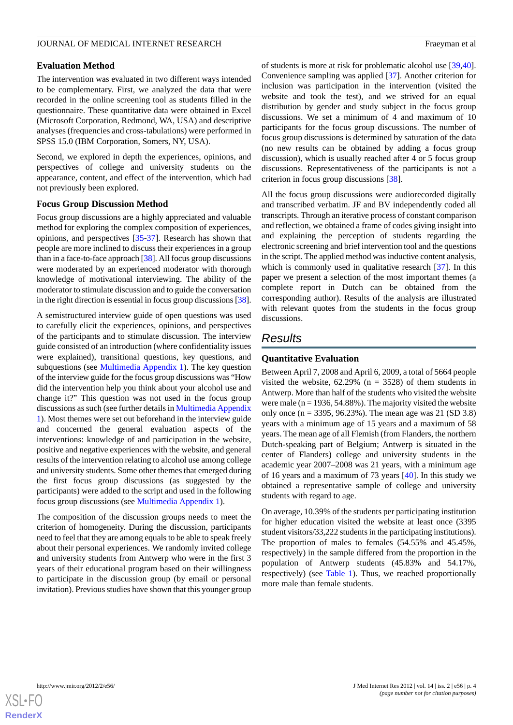### **Evaluation Method**

The intervention was evaluated in two different ways intended to be complementary. First, we analyzed the data that were recorded in the online screening tool as students filled in the questionnaire. These quantitative data were obtained in Excel (Microsoft Corporation, Redmond, WA, USA) and descriptive analyses (frequencies and cross-tabulations) were performed in SPSS 15.0 (IBM Corporation, Somers, NY, USA).

Second, we explored in depth the experiences, opinions, and perspectives of college and university students on the appearance, content, and effect of the intervention, which had not previously been explored.

#### **Focus Group Discussion Method**

Focus group discussions are a highly appreciated and valuable method for exploring the complex composition of experiences, opinions, and perspectives [\[35](#page-10-16)[-37](#page-10-17)]. Research has shown that people are more inclined to discuss their experiences in a group than in a face-to-face approach [[38\]](#page-10-18). All focus group discussions were moderated by an experienced moderator with thorough knowledge of motivational interviewing. The ability of the moderator to stimulate discussion and to guide the conversation in the right direction is essential in focus group discussions [\[38\]](#page-10-18).

A semistructured interview guide of open questions was used to carefully elicit the experiences, opinions, and perspectives of the participants and to stimulate discussion. The interview guide consisted of an introduction (where confidentiality issues were explained), transitional questions, key questions, and subquestions (see [Multimedia Appendix 1](#page-9-16)). The key question of the interview guide for the focus group discussions was "How did the intervention help you think about your alcohol use and change it?" This question was not used in the focus group discussions as such (see further details in [Multimedia Appendix](#page-9-16) [1\)](#page-9-16). Most themes were set out beforehand in the interview guide and concerned the general evaluation aspects of the interventions: knowledge of and participation in the website, positive and negative experiences with the website, and general results of the intervention relating to alcohol use among college and university students. Some other themes that emerged during the first focus group discussions (as suggested by the participants) were added to the script and used in the following focus group discussions (see [Multimedia Appendix 1](#page-9-16)).

The composition of the discussion groups needs to meet the criterion of homogeneity. During the discussion, participants need to feel that they are among equals to be able to speak freely about their personal experiences. We randomly invited college and university students from Antwerp who were in the first 3 years of their educational program based on their willingness to participate in the discussion group (by email or personal invitation). Previous studies have shown that this younger group of students is more at risk for problematic alcohol use [\[39](#page-10-19),[40\]](#page-10-20). Convenience sampling was applied [[37\]](#page-10-17). Another criterion for inclusion was participation in the intervention (visited the website and took the test), and we strived for an equal distribution by gender and study subject in the focus group discussions. We set a minimum of 4 and maximum of 10 participants for the focus group discussions. The number of focus group discussions is determined by saturation of the data (no new results can be obtained by adding a focus group discussion), which is usually reached after 4 or 5 focus group discussions. Representativeness of the participants is not a criterion in focus group discussions [[38\]](#page-10-18).

All the focus group discussions were audiorecorded digitally and transcribed verbatim. JF and BV independently coded all transcripts. Through an iterative process of constant comparison and reflection, we obtained a frame of codes giving insight into and explaining the perception of students regarding the electronic screening and brief intervention tool and the questions in the script. The applied method was inductive content analysis, which is commonly used in qualitative research [\[37](#page-10-17)]. In this paper we present a selection of the most important themes (a complete report in Dutch can be obtained from the corresponding author). Results of the analysis are illustrated with relevant quotes from the students in the focus group discussions.

# *Results*

#### **Quantitative Evaluation**

Between April 7, 2008 and April 6, 2009, a total of 5664 people visited the website,  $62.29\%$  (n = 3528) of them students in Antwerp. More than half of the students who visited the website were male ( $n = 1936, 54.88\%$ ). The majority visited the website only once (n = 3395, 96.23%). The mean age was 21 (SD 3.8) years with a minimum age of 15 years and a maximum of 58 years. The mean age of all Flemish (from Flanders, the northern Dutch-speaking part of Belgium; Antwerp is situated in the center of Flanders) college and university students in the academic year 2007–2008 was 21 years, with a minimum age of 16 years and a maximum of 73 years [[40\]](#page-10-20). In this study we obtained a representative sample of college and university students with regard to age.

On average, 10.39% of the students per participating institution for higher education visited the website at least once (3395 student visitors/33,222 students in the participating institutions). The proportion of males to females (54.55% and 45.45%, respectively) in the sample differed from the proportion in the population of Antwerp students (45.83% and 54.17%, respectively) (see [Table 1](#page-4-0)). Thus, we reached proportionally more male than female students.

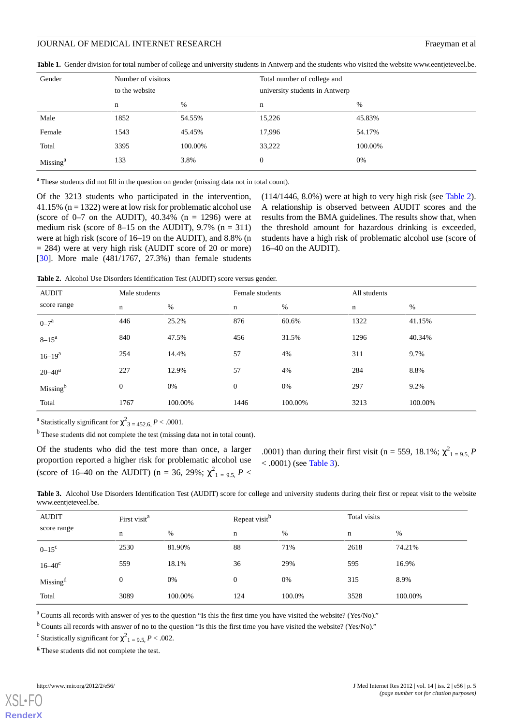<span id="page-4-0"></span>

|  | <b>Table 1.</b> Gender division for total number of college and university students in Antwerp and the students who visited the website www.eentieteveel.be. |  |  |  |  |  |
|--|--------------------------------------------------------------------------------------------------------------------------------------------------------------|--|--|--|--|--|
|--|--------------------------------------------------------------------------------------------------------------------------------------------------------------|--|--|--|--|--|

| Gender               | Number of visitors<br>to the website |         | Total number of college and<br>university students in Antwerp |         |
|----------------------|--------------------------------------|---------|---------------------------------------------------------------|---------|
|                      | n                                    | $\%$    | n                                                             | %       |
| Male                 | 1852                                 | 54.55%  | 15,226                                                        | 45.83%  |
| Female               | 1543                                 | 45.45%  | 17,996                                                        | 54.17%  |
| Total                | 3395                                 | 100.00% | 33,222                                                        | 100.00% |
| Missing <sup>a</sup> | 133                                  | 3.8%    | $\mathbf{0}$                                                  | 0%      |

<sup>a</sup> These students did not fill in the question on gender (missing data not in total count).

Of the 3213 students who participated in the intervention, 41.15% ( $n = 1322$ ) were at low risk for problematic alcohol use (score of  $0-7$  on the AUDIT), 40.34% (n = 1296) were at medium risk (score of  $8-15$  on the AUDIT), 9.7% (n = 311) were at high risk (score of 16–19 on the AUDIT), and 8.8% (n  $= 284$ ) were at very high risk (AUDIT score of 20 or more) [[30\]](#page-10-11). More male (481/1767, 27.3%) than female students

(114/1446, 8.0%) were at high to very high risk (see [Table 2\)](#page-4-1). A relationship is observed between AUDIT scores and the results from the BMA guidelines. The results show that, when the threshold amount for hazardous drinking is exceeded, students have a high risk of problematic alcohol use (score of 16–40 on the AUDIT).

<span id="page-4-1"></span>**Table 2.** Alcohol Use Disorders Identification Test (AUDIT) score versus gender.

| <b>AUDIT</b>         | Male students    |         | Female students |         | All students |         |
|----------------------|------------------|---------|-----------------|---------|--------------|---------|
| score range          | $\mathbf n$      | %       | $\mathbf n$     | %       | $\mathbf n$  | %       |
| $0 - 7^a$            | 446              | 25.2%   | 876             | 60.6%   | 1322         | 41.15%  |
| $8 - 15^a$           | 840              | 47.5%   | 456             | 31.5%   | 1296         | 40.34%  |
| $16 - 19^a$          | 254              | 14.4%   | 57              | 4%      | 311          | 9.7%    |
| $20 - 40^a$          | 227              | 12.9%   | 57              | 4%      | 284          | 8.8%    |
| Missing <sup>b</sup> | $\boldsymbol{0}$ | 0%      | $\mathbf{0}$    | 0%      | 297          | 9.2%    |
| Total                | 1767             | 100.00% | 1446            | 100.00% | 3213         | 100.00% |

<sup>a</sup> Statistically significant for  $\chi^2_{3.4} = 452.6, P < .0001$ .

 $<sup>b</sup>$  These students did not complete the test (missing data not in total count).</sup>

<span id="page-4-2"></span>Of the students who did the test more than once, a larger proportion reported a higher risk for problematic alcohol use (score of 16–40 on the AUDIT) (n = 36, 29%;  $\chi^{2}_{1}$  = 9.5, P <

.0001) than during their first visit (n = 559, 18.1%;  $\chi^2_{1} = 9.5$ , *P*  $< .0001$ ) (see [Table 3](#page-4-2)).

Table 3. Alcohol Use Disorders Identification Test (AUDIT) score for college and university students during their first or repeat visit to the website www.eentjeteveel.be.

| <b>AUDIT</b>         | First visit <sup>a</sup> |         | Repeat visit <sup>b</sup> |        | Total visits |         |
|----------------------|--------------------------|---------|---------------------------|--------|--------------|---------|
| score range          | n                        | %       | n                         | %      | n            | %       |
| $0 - 15^c$           | 2530                     | 81.90%  | 88                        | 71%    | 2618         | 74.21%  |
| $16 - 40^{\circ}$    | 559                      | 18.1%   | 36                        | 29%    | 595          | 16.9%   |
| Missing <sup>d</sup> | $\boldsymbol{0}$         | 0%      | $\mathbf{0}$              | 0%     | 315          | 8.9%    |
| Total                | 3089                     | 100.00% | 124                       | 100.0% | 3528         | 100.00% |

<sup>a</sup> Counts all records with answer of yes to the question "Is this the first time you have visited the website? (Yes/No)."

 $<sup>b</sup>$  Counts all records with answer of no to the question "Is this the first time you have visited the website? (Yes/No)."</sup>

<sup>c</sup> Statistically significant for  $\chi^2_{1} = 9.5, P < .002$ .

<sup>g</sup> These students did not complete the test.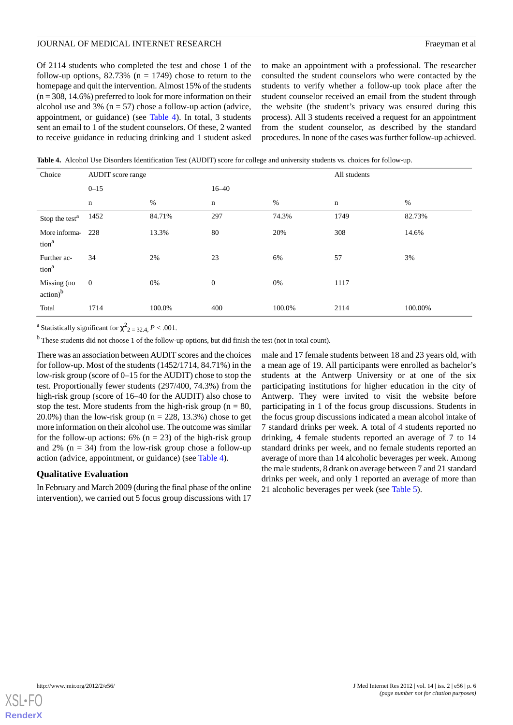Of 2114 students who completed the test and chose 1 of the follow-up options,  $82.73\%$  (n = 1749) chose to return to the homepage and quit the intervention. Almost 15% of the students  $(n = 308, 14.6\%)$  preferred to look for more information on their alcohol use and 3% ( $n = 57$ ) chose a follow-up action (advice, appointment, or guidance) (see [Table 4](#page-5-0)). In total, 3 students sent an email to 1 of the student counselors. Of these, 2 wanted to receive guidance in reducing drinking and 1 student asked to make an appointment with a professional. The researcher consulted the student counselors who were contacted by the students to verify whether a follow-up took place after the student counselor received an email from the student through the website (the student's privacy was ensured during this process). All 3 students received a request for an appointment from the student counselor, as described by the standard procedures. In none of the cases was further follow-up achieved.

<span id="page-5-0"></span>**Table 4.** Alcohol Use Disorders Identification Test (AUDIT) score for college and university students vs. choices for follow-up.

| Choice                                | <b>AUDIT</b> score range |        |                  |        | All students |         |
|---------------------------------------|--------------------------|--------|------------------|--------|--------------|---------|
|                                       | $0 - 15$                 |        | $16 - 40$        |        |              |         |
|                                       | n                        | %      | $\mathbf n$      | $\%$   | n            | $\%$    |
| Stop the test <sup>a</sup>            | 1452                     | 84.71% | 297              | 74.3%  | 1749         | 82.73%  |
| More informa-<br>tion <sup>a</sup>    | 228                      | 13.3%  | 80               | 20%    | 308          | 14.6%   |
| Further ac-<br>tion <sup>a</sup>      | 34                       | 2%     | 23               | 6%     | 57           | 3%      |
| Missing (no<br>$\arctan$ <sup>b</sup> | $\mathbf{0}$             | 0%     | $\boldsymbol{0}$ | 0%     | 1117         |         |
| Total                                 | 1714                     | 100.0% | 400              | 100.0% | 2114         | 100.00% |

<sup>a</sup> Statistically significant for  $\chi^2_{2} = 32.4$ ,  $P < .001$ .

<sup>b</sup> These students did not choose 1 of the follow-up options, but did finish the test (not in total count).

There was an association between AUDIT scores and the choices for follow-up. Most of the students (1452/1714, 84.71%) in the low-risk group (score of 0–15 for the AUDIT) chose to stop the test. Proportionally fewer students (297/400, 74.3%) from the high-risk group (score of 16–40 for the AUDIT) also chose to stop the test. More students from the high-risk group ( $n = 80$ , 20.0%) than the low-risk group ( $n = 228$ , 13.3%) chose to get more information on their alcohol use. The outcome was similar for the follow-up actions:  $6\%$  (n = 23) of the high-risk group and 2% ( $n = 34$ ) from the low-risk group chose a follow-up action (advice, appointment, or guidance) (see [Table 4\)](#page-5-0).

#### **Qualitative Evaluation**

In February and March 2009 (during the final phase of the online intervention), we carried out 5 focus group discussions with 17

male and 17 female students between 18 and 23 years old, with a mean age of 19. All participants were enrolled as bachelor's students at the Antwerp University or at one of the six participating institutions for higher education in the city of Antwerp. They were invited to visit the website before participating in 1 of the focus group discussions. Students in the focus group discussions indicated a mean alcohol intake of 7 standard drinks per week. A total of 4 students reported no drinking, 4 female students reported an average of 7 to 14 standard drinks per week, and no female students reported an average of more than 14 alcoholic beverages per week. Among the male students, 8 drank on average between 7 and 21 standard drinks per week, and only 1 reported an average of more than 21 alcoholic beverages per week (see [Table 5](#page-6-0)).

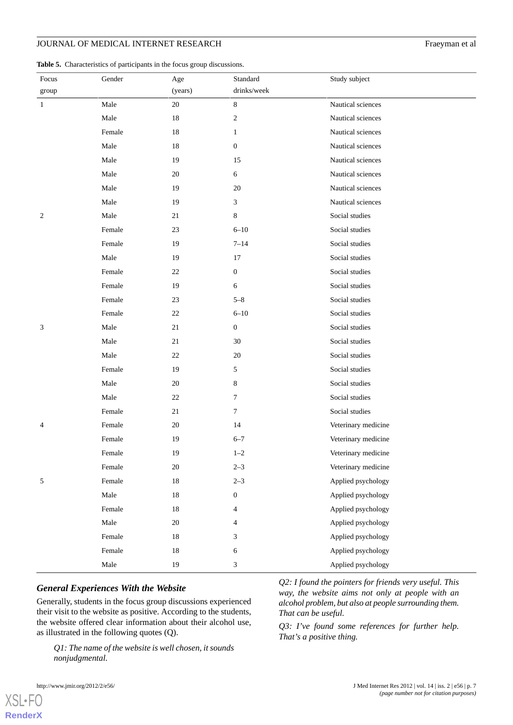# JOURNAL OF MEDICAL INTERNET RESEARCH Fraeyman et al

<span id="page-6-0"></span>

|  |  |  |  | Table 5. Characteristics of participants in the focus group discussions. |
|--|--|--|--|--------------------------------------------------------------------------|
|--|--|--|--|--------------------------------------------------------------------------|

| Focus                  | Gender | Age     | Standard         | Study subject       |
|------------------------|--------|---------|------------------|---------------------|
| $\operatorname{group}$ |        | (years) | drinks/week      |                     |
| $\mathbf{1}$           | Male   | $20\,$  | $8\,$            | Nautical sciences   |
|                        | Male   | $18\,$  | $\boldsymbol{2}$ | Nautical sciences   |
|                        | Female | 18      | $\mathbf{1}$     | Nautical sciences   |
|                        | Male   | 18      | $\boldsymbol{0}$ | Nautical sciences   |
|                        | Male   | 19      | 15               | Nautical sciences   |
|                        | Male   | $20\,$  | 6                | Nautical sciences   |
|                        | Male   | 19      | 20               | Nautical sciences   |
|                        | Male   | 19      | 3                | Nautical sciences   |
| 2                      | Male   | 21      | $\,$ 8 $\,$      | Social studies      |
|                        | Female | 23      | $6 - 10$         | Social studies      |
|                        | Female | 19      | $7 - 14$         | Social studies      |
|                        | Male   | 19      | 17               | Social studies      |
|                        | Female | 22      | 0                | Social studies      |
|                        | Female | 19      | 6                | Social studies      |
|                        | Female | 23      | $5 - 8$          | Social studies      |
|                        | Female | $22\,$  | $6 - 10$         | Social studies      |
| 3                      | Male   | $21\,$  | $\boldsymbol{0}$ | Social studies      |
|                        | Male   | $21\,$  | 30               | Social studies      |
|                        | Male   | 22      | 20               | Social studies      |
|                        | Female | 19      | 5                | Social studies      |
|                        | Male   | $20\,$  | 8                | Social studies      |
|                        | Male   | 22      | 7                | Social studies      |
|                        | Female | 21      | 7                | Social studies      |
| 4                      | Female | 20      | 14               | Veterinary medicine |
|                        | Female | 19      | $6 - 7$          | Veterinary medicine |
|                        | Female | 19      | $1 - 2$          | Veterinary medicine |
|                        | Female | $20\,$  | $2 - 3$          | Veterinary medicine |
| 5                      | Female | $18\,$  | $2 - 3$          | Applied psychology  |
|                        | Male   | $18\,$  | $\boldsymbol{0}$ | Applied psychology  |
|                        | Female | $18\,$  | 4                | Applied psychology  |
|                        | Male   | $20\,$  | 4                | Applied psychology  |
|                        | Female | $18\,$  | 3                | Applied psychology  |
|                        | Female | $18\,$  | 6                | Applied psychology  |
|                        | Male   | 19      | $\mathfrak{Z}$   | Applied psychology  |

#### *General Experiences With the Website*

Generally, students in the focus group discussions experienced their visit to the website as positive. According to the students, the website offered clear information about their alcohol use, as illustrated in the following quotes (Q).

*Q1: The name of the website is well chosen, it sounds nonjudgmental.*

*Q2: I found the pointers for friends very useful. This way, the website aims not only at people with an alcohol problem, but also at people surrounding them. That can be useful.*

*Q3: I've found some references for further help. That's a positive thing.*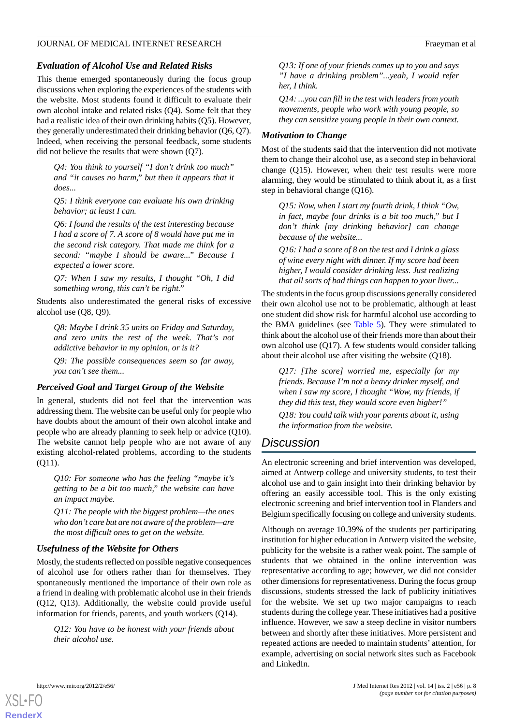## *Evaluation of Alcohol Use and Related Risks*

This theme emerged spontaneously during the focus group discussions when exploring the experiences of the students with the website. Most students found it difficult to evaluate their own alcohol intake and related risks (Q4). Some felt that they had a realistic idea of their own drinking habits (Q5). However, they generally underestimated their drinking behavior (Q6, Q7). Indeed, when receiving the personal feedback, some students did not believe the results that were shown (Q7).

*Q4: You think to yourself "I don't drink too much" and "it causes no harm," but then it appears that it does...*

*Q5: I think everyone can evaluate his own drinking behavior; at least I can.*

*Q6: I found the results of the test interesting because I had a score of 7. A score of 8 would have put me in the second risk category. That made me think for a second: "maybe I should be aware..." Because I expected a lower score.*

*Q7: When I saw my results, I thought "Oh, I did something wrong, this can't be right."*

Students also underestimated the general risks of excessive alcohol use (Q8, Q9).

*Q8: Maybe I drink 35 units on Friday and Saturday, and zero units the rest of the week. That's not addictive behavior in my opinion, or is it?*

*Q9: The possible consequences seem so far away, you can't see them...*

#### *Perceived Goal and Target Group of the Website*

In general, students did not feel that the intervention was addressing them. The website can be useful only for people who have doubts about the amount of their own alcohol intake and people who are already planning to seek help or advice (Q10). The website cannot help people who are not aware of any existing alcohol-related problems, according to the students (Q11).

*Q10: For someone who has the feeling "maybe it's getting to be a bit too much," the website can have an impact maybe.*

*Q11: The people with the biggest problem—the ones who don't care but are not aware of the problem—are the most difficult ones to get on the website.*

#### *Usefulness of the Website for Others*

Mostly, the students reflected on possible negative consequences of alcohol use for others rather than for themselves. They spontaneously mentioned the importance of their own role as a friend in dealing with problematic alcohol use in their friends (Q12, Q13). Additionally, the website could provide useful information for friends, parents, and youth workers (Q14).

*Q12: You have to be honest with your friends about their alcohol use.*

*Q13: If one of your friends comes up to you and says "I have a drinking problem"...yeah, I would refer her, I think.*

*Q14: ...you can fill in the test with leaders from youth movements, people who work with young people, so they can sensitize young people in their own context.*

#### *Motivation to Change*

Most of the students said that the intervention did not motivate them to change their alcohol use, as a second step in behavioral change (Q15). However, when their test results were more alarming, they would be stimulated to think about it, as a first step in behavioral change (Q16).

*Q15: Now, when I start my fourth drink, I think "Ow, in fact, maybe four drinks is a bit too much," but I don't think [my drinking behavior] can change because of the website...*

*Q16: I had a score of 8 on the test and I drink a glass of wine every night with dinner. If my score had been higher, I would consider drinking less. Just realizing that all sorts of bad things can happen to your liver...*

The students in the focus group discussions generally considered their own alcohol use not to be problematic, although at least one student did show risk for harmful alcohol use according to the BMA guidelines (see [Table 5](#page-6-0)). They were stimulated to think about the alcohol use of their friends more than about their own alcohol use (Q17). A few students would consider talking about their alcohol use after visiting the website (Q18).

*Q17: [The score] worried me, especially for my friends. Because I'm not a heavy drinker myself, and when I saw my score, I thought "Wow, my friends, if they did this test, they would score even higher!"*

*Q18: You could talk with your parents about it, using the information from the website.*

# *Discussion*

An electronic screening and brief intervention was developed, aimed at Antwerp college and university students, to test their alcohol use and to gain insight into their drinking behavior by offering an easily accessible tool. This is the only existing electronic screening and brief intervention tool in Flanders and Belgium specifically focusing on college and university students.

Although on average 10.39% of the students per participating institution for higher education in Antwerp visited the website, publicity for the website is a rather weak point. The sample of students that we obtained in the online intervention was representative according to age; however, we did not consider other dimensions for representativeness. During the focus group discussions, students stressed the lack of publicity initiatives for the website. We set up two major campaigns to reach students during the college year. These initiatives had a positive influence. However, we saw a steep decline in visitor numbers between and shortly after these initiatives. More persistent and repeated actions are needed to maintain students' attention, for example, advertising on social network sites such as Facebook and LinkedIn.

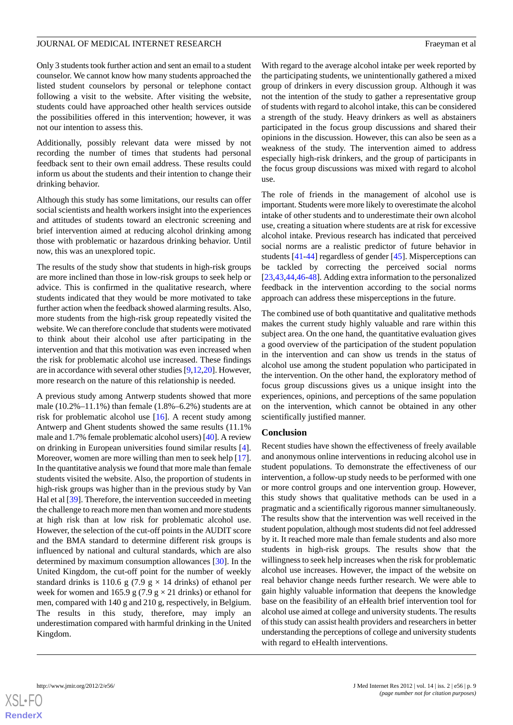Only 3 students took further action and sent an email to a student counselor. We cannot know how many students approached the listed student counselors by personal or telephone contact following a visit to the website. After visiting the website, students could have approached other health services outside the possibilities offered in this intervention; however, it was not our intention to assess this.

Additionally, possibly relevant data were missed by not recording the number of times that students had personal feedback sent to their own email address. These results could inform us about the students and their intention to change their drinking behavior.

Although this study has some limitations, our results can offer social scientists and health workers insight into the experiences and attitudes of students toward an electronic screening and brief intervention aimed at reducing alcohol drinking among those with problematic or hazardous drinking behavior. Until now, this was an unexplored topic.

The results of the study show that students in high-risk groups are more inclined than those in low-risk groups to seek help or advice. This is confirmed in the qualitative research, where students indicated that they would be more motivated to take further action when the feedback showed alarming results. Also, more students from the high-risk group repeatedly visited the website. We can therefore conclude that students were motivated to think about their alcohol use after participating in the intervention and that this motivation was even increased when the risk for problematic alcohol use increased. These findings are in accordance with several other studies [[9,](#page-9-7)[12](#page-9-12)[,20](#page-10-1)]. However, more research on the nature of this relationship is needed.

A previous study among Antwerp students showed that more male  $(10.2\% - 11.1\%)$  than female  $(1.8\% - 6.2\%)$  students are at risk for problematic alcohol use [[16\]](#page-9-10). A recent study among Antwerp and Ghent students showed the same results (11.1% male and 1.7% female problematic alcohol users) [[40\]](#page-10-20). A review on drinking in European universities found similar results [[4\]](#page-9-3). Moreover, women are more willing than men to seek help [[17\]](#page-9-11). In the quantitative analysis we found that more male than female students visited the website. Also, the proportion of students in high-risk groups was higher than in the previous study by Van Hal et al [[39\]](#page-10-19). Therefore, the intervention succeeded in meeting the challenge to reach more men than women and more students at high risk than at low risk for problematic alcohol use. However, the selection of the cut-off points in the AUDIT score and the BMA standard to determine different risk groups is influenced by national and cultural standards, which are also determined by maximum consumption allowances [\[30](#page-10-11)]. In the United Kingdom, the cut-off point for the number of weekly standard drinks is 110.6 g (7.9 g  $\times$  14 drinks) of ethanol per week for women and 165.9 g (7.9 g  $\times$  21 drinks) or ethanol for men, compared with 140 g and 210 g, respectively, in Belgium. The results in this study, therefore, may imply an underestimation compared with harmful drinking in the United Kingdom.

With regard to the average alcohol intake per week reported by the participating students, we unintentionally gathered a mixed group of drinkers in every discussion group. Although it was not the intention of the study to gather a representative group of students with regard to alcohol intake, this can be considered a strength of the study. Heavy drinkers as well as abstainers participated in the focus group discussions and shared their opinions in the discussion. However, this can also be seen as a weakness of the study. The intervention aimed to address especially high-risk drinkers, and the group of participants in the focus group discussions was mixed with regard to alcohol use.

The role of friends in the management of alcohol use is important. Students were more likely to overestimate the alcohol intake of other students and to underestimate their own alcohol use, creating a situation where students are at risk for excessive alcohol intake. Previous research has indicated that perceived social norms are a realistic predictor of future behavior in students [\[41](#page-10-21)[-44](#page-11-0)] regardless of gender [[45\]](#page-11-1). Misperceptions can be tackled by correcting the perceived social norms [[23,](#page-10-4)[43,](#page-10-22)[44](#page-11-0)[,46](#page-11-2)-[48\]](#page-11-3). Adding extra information to the personalized feedback in the intervention according to the social norms approach can address these misperceptions in the future.

The combined use of both quantitative and qualitative methods makes the current study highly valuable and rare within this subject area. On the one hand, the quantitative evaluation gives a good overview of the participation of the student population in the intervention and can show us trends in the status of alcohol use among the student population who participated in the intervention. On the other hand, the exploratory method of focus group discussions gives us a unique insight into the experiences, opinions, and perceptions of the same population on the intervention, which cannot be obtained in any other scientifically justified manner.

#### **Conclusion**

Recent studies have shown the effectiveness of freely available and anonymous online interventions in reducing alcohol use in student populations. To demonstrate the effectiveness of our intervention, a follow-up study needs to be performed with one or more control groups and one intervention group. However, this study shows that qualitative methods can be used in a pragmatic and a scientifically rigorous manner simultaneously. The results show that the intervention was well received in the student population, although most students did not feel addressed by it. It reached more male than female students and also more students in high-risk groups. The results show that the willingness to seek help increases when the risk for problematic alcohol use increases. However, the impact of the website on real behavior change needs further research. We were able to gain highly valuable information that deepens the knowledge base on the feasibility of an eHealth brief intervention tool for alcohol use aimed at college and university students. The results of this study can assist health providers and researchers in better understanding the perceptions of college and university students with regard to eHealth interventions.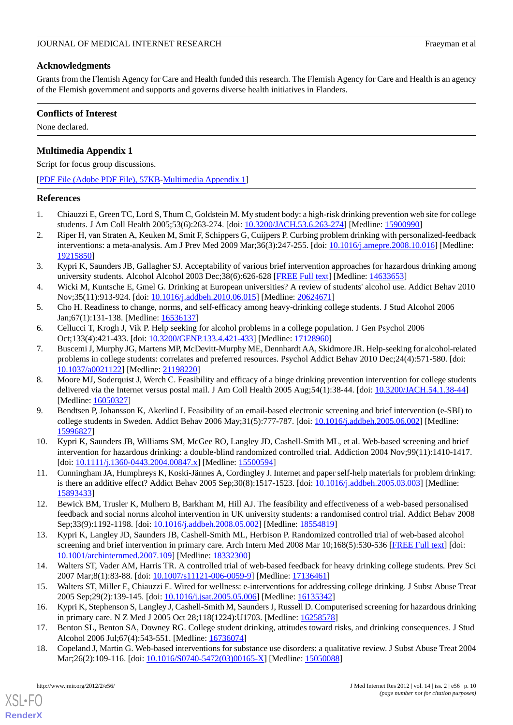# **Acknowledgments**

Grants from the Flemish Agency for Care and Health funded this research. The Flemish Agency for Care and Health is an agency of the Flemish government and supports and governs diverse health initiatives in Flanders.

## **Conflicts of Interest**

<span id="page-9-16"></span>None declared.

# **Multimedia Appendix 1**

Script for focus group discussions.

[[PDF File \(Adobe PDF File\), 57KB-Multimedia Appendix 1](https://jmir.org/api/download?alt_name=jmir_v14i2e56_app1.pdf&filename=2e4411847f86a7e9ffc6bacbc3ad9740.pdf)]

#### <span id="page-9-0"></span>**References**

- <span id="page-9-1"></span>1. Chiauzzi E, Green TC, Lord S, Thum C, Goldstein M. My student body: a high-risk drinking prevention web site for college students. J Am Coll Health 2005;53(6):263-274. [doi: [10.3200/JACH.53.6.263-274](http://dx.doi.org/10.3200/JACH.53.6.263-274)] [Medline: [15900990\]](http://www.ncbi.nlm.nih.gov/entrez/query.fcgi?cmd=Retrieve&db=PubMed&list_uids=15900990&dopt=Abstract)
- <span id="page-9-2"></span>2. Riper H, van Straten A, Keuken M, Smit F, Schippers G, Cuijpers P. Curbing problem drinking with personalized-feedback interventions: a meta-analysis. Am J Prev Med 2009 Mar;36(3):247-255. [doi: [10.1016/j.amepre.2008.10.016\]](http://dx.doi.org/10.1016/j.amepre.2008.10.016) [Medline: [19215850](http://www.ncbi.nlm.nih.gov/entrez/query.fcgi?cmd=Retrieve&db=PubMed&list_uids=19215850&dopt=Abstract)]
- <span id="page-9-3"></span>3. Kypri K, Saunders JB, Gallagher SJ. Acceptability of various brief intervention approaches for hazardous drinking among university students. Alcohol Alcohol 2003 Dec;38(6):626-628 [[FREE Full text](http://alcalc.oxfordjournals.org/cgi/pmidlookup?view=long&pmid=14633653)] [Medline: [14633653](http://www.ncbi.nlm.nih.gov/entrez/query.fcgi?cmd=Retrieve&db=PubMed&list_uids=14633653&dopt=Abstract)]
- <span id="page-9-4"></span>4. Wicki M, Kuntsche E, Gmel G. Drinking at European universities? A review of students' alcohol use. Addict Behav 2010 Nov;35(11):913-924. [doi: [10.1016/j.addbeh.2010.06.015\]](http://dx.doi.org/10.1016/j.addbeh.2010.06.015) [Medline: [20624671](http://www.ncbi.nlm.nih.gov/entrez/query.fcgi?cmd=Retrieve&db=PubMed&list_uids=20624671&dopt=Abstract)]
- <span id="page-9-5"></span>5. Cho H. Readiness to change, norms, and self-efficacy among heavy-drinking college students. J Stud Alcohol 2006 Jan;67(1):131-138. [Medline: [16536137](http://www.ncbi.nlm.nih.gov/entrez/query.fcgi?cmd=Retrieve&db=PubMed&list_uids=16536137&dopt=Abstract)]
- 6. Cellucci T, Krogh J, Vik P. Help seeking for alcohol problems in a college population. J Gen Psychol 2006 Oct;133(4):421-433. [doi: [10.3200/GENP.133.4.421-433](http://dx.doi.org/10.3200/GENP.133.4.421-433)] [Medline: [17128960\]](http://www.ncbi.nlm.nih.gov/entrez/query.fcgi?cmd=Retrieve&db=PubMed&list_uids=17128960&dopt=Abstract)
- <span id="page-9-6"></span>7. Buscemi J, Murphy JG, Martens MP, McDevitt-Murphy ME, Dennhardt AA, Skidmore JR. Help-seeking for alcohol-related problems in college students: correlates and preferred resources. Psychol Addict Behav 2010 Dec;24(4):571-580. [doi: [10.1037/a0021122](http://dx.doi.org/10.1037/a0021122)] [Medline: [21198220](http://www.ncbi.nlm.nih.gov/entrez/query.fcgi?cmd=Retrieve&db=PubMed&list_uids=21198220&dopt=Abstract)]
- <span id="page-9-7"></span>8. Moore MJ, Soderquist J, Werch C. Feasibility and efficacy of a binge drinking prevention intervention for college students delivered via the Internet versus postal mail. J Am Coll Health 2005 Aug;54(1):38-44. [doi: [10.3200/JACH.54.1.38-44](http://dx.doi.org/10.3200/JACH.54.1.38-44)] [Medline: [16050327](http://www.ncbi.nlm.nih.gov/entrez/query.fcgi?cmd=Retrieve&db=PubMed&list_uids=16050327&dopt=Abstract)]
- <span id="page-9-9"></span><span id="page-9-8"></span>9. Bendtsen P, Johansson K, Akerlind I. Feasibility of an email-based electronic screening and brief intervention (e-SBI) to college students in Sweden. Addict Behav 2006 May;31(5):777-787. [doi: [10.1016/j.addbeh.2005.06.002](http://dx.doi.org/10.1016/j.addbeh.2005.06.002)] [Medline: [15996827](http://www.ncbi.nlm.nih.gov/entrez/query.fcgi?cmd=Retrieve&db=PubMed&list_uids=15996827&dopt=Abstract)]
- <span id="page-9-12"></span>10. Kypri K, Saunders JB, Williams SM, McGee RO, Langley JD, Cashell-Smith ML, et al. Web-based screening and brief intervention for hazardous drinking: a double-blind randomized controlled trial. Addiction 2004 Nov;99(11):1410-1417. [doi: [10.1111/j.1360-0443.2004.00847.x](http://dx.doi.org/10.1111/j.1360-0443.2004.00847.x)] [Medline: [15500594](http://www.ncbi.nlm.nih.gov/entrez/query.fcgi?cmd=Retrieve&db=PubMed&list_uids=15500594&dopt=Abstract)]
- 11. Cunningham JA, Humphreys K, Koski-Jännes A, Cordingley J. Internet and paper self-help materials for problem drinking: is there an additive effect? Addict Behav 2005 Sep;30(8):1517-1523. [doi: [10.1016/j.addbeh.2005.03.003\]](http://dx.doi.org/10.1016/j.addbeh.2005.03.003) [Medline: [15893433](http://www.ncbi.nlm.nih.gov/entrez/query.fcgi?cmd=Retrieve&db=PubMed&list_uids=15893433&dopt=Abstract)]
- <span id="page-9-15"></span>12. Bewick BM, Trusler K, Mulhern B, Barkham M, Hill AJ. The feasibility and effectiveness of a web-based personalised feedback and social norms alcohol intervention in UK university students: a randomised control trial. Addict Behav 2008 Sep;33(9):1192-1198. [doi: [10.1016/j.addbeh.2008.05.002](http://dx.doi.org/10.1016/j.addbeh.2008.05.002)] [Medline: [18554819](http://www.ncbi.nlm.nih.gov/entrez/query.fcgi?cmd=Retrieve&db=PubMed&list_uids=18554819&dopt=Abstract)]
- <span id="page-9-14"></span><span id="page-9-10"></span>13. Kypri K, Langley JD, Saunders JB, Cashell-Smith ML, Herbison P. Randomized controlled trial of web-based alcohol screening and brief intervention in primary care. Arch Intern Med 2008 Mar 10;168(5):530-536 [\[FREE Full text\]](http://archinte.ama-assn.org/cgi/pmidlookup?view=long&pmid=18332300) [doi: [10.1001/archinternmed.2007.109\]](http://dx.doi.org/10.1001/archinternmed.2007.109) [Medline: [18332300](http://www.ncbi.nlm.nih.gov/entrez/query.fcgi?cmd=Retrieve&db=PubMed&list_uids=18332300&dopt=Abstract)]
- <span id="page-9-11"></span>14. Walters ST, Vader AM, Harris TR. A controlled trial of web-based feedback for heavy drinking college students. Prev Sci 2007 Mar;8(1):83-88. [doi: [10.1007/s11121-006-0059-9\]](http://dx.doi.org/10.1007/s11121-006-0059-9) [Medline: [17136461\]](http://www.ncbi.nlm.nih.gov/entrez/query.fcgi?cmd=Retrieve&db=PubMed&list_uids=17136461&dopt=Abstract)
- <span id="page-9-13"></span>15. Walters ST, Miller E, Chiauzzi E. Wired for wellness: e-interventions for addressing college drinking. J Subst Abuse Treat 2005 Sep;29(2):139-145. [doi: [10.1016/j.jsat.2005.05.006\]](http://dx.doi.org/10.1016/j.jsat.2005.05.006) [Medline: [16135342\]](http://www.ncbi.nlm.nih.gov/entrez/query.fcgi?cmd=Retrieve&db=PubMed&list_uids=16135342&dopt=Abstract)
- 16. Kypri K, Stephenson S, Langley J, Cashell-Smith M, Saunders J, Russell D. Computerised screening for hazardous drinking in primary care. N Z Med J 2005 Oct 28;118(1224):U1703. [Medline: [16258578\]](http://www.ncbi.nlm.nih.gov/entrez/query.fcgi?cmd=Retrieve&db=PubMed&list_uids=16258578&dopt=Abstract)
- 17. Benton SL, Benton SA, Downey RG. College student drinking, attitudes toward risks, and drinking consequences. J Stud Alcohol 2006 Jul;67(4):543-551. [Medline: [16736074\]](http://www.ncbi.nlm.nih.gov/entrez/query.fcgi?cmd=Retrieve&db=PubMed&list_uids=16736074&dopt=Abstract)
- 18. Copeland J, Martin G. Web-based interventions for substance use disorders: a qualitative review. J Subst Abuse Treat 2004 Mar;26(2):109-116. [doi: [10.1016/S0740-5472\(03\)00165-X](http://dx.doi.org/10.1016/S0740-5472(03)00165-X)] [Medline: [15050088](http://www.ncbi.nlm.nih.gov/entrez/query.fcgi?cmd=Retrieve&db=PubMed&list_uids=15050088&dopt=Abstract)]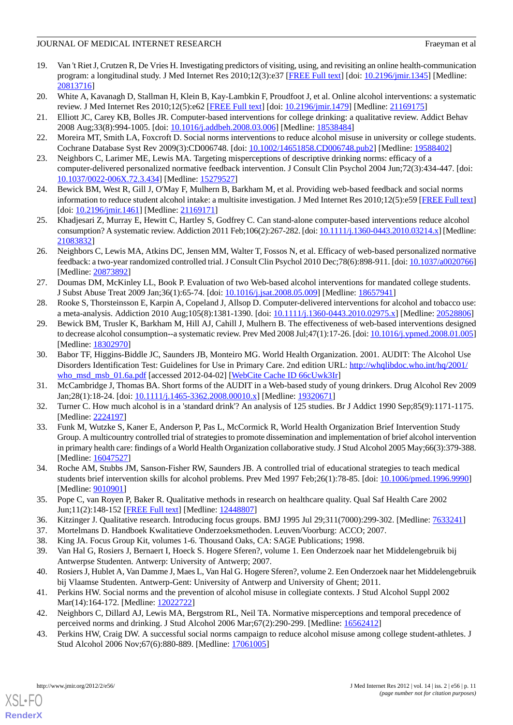- <span id="page-10-0"></span>19. Van 't Riet J, Crutzen R, De Vries H. Investigating predictors of visiting, using, and revisiting an online health-communication program: a longitudinal study. J Med Internet Res 2010;12(3):e37 [\[FREE Full text\]](http://www.jmir.org/2010/3/e37/) [doi: [10.2196/jmir.1345\]](http://dx.doi.org/10.2196/jmir.1345) [Medline: [20813716](http://www.ncbi.nlm.nih.gov/entrez/query.fcgi?cmd=Retrieve&db=PubMed&list_uids=20813716&dopt=Abstract)]
- <span id="page-10-2"></span><span id="page-10-1"></span>20. White A, Kavanagh D, Stallman H, Klein B, Kay-Lambkin F, Proudfoot J, et al. Online alcohol interventions: a systematic review. J Med Internet Res 2010;12(5):e62 [\[FREE Full text\]](http://www.jmir.org/2010/5/e62/) [doi: [10.2196/jmir.1479\]](http://dx.doi.org/10.2196/jmir.1479) [Medline: [21169175\]](http://www.ncbi.nlm.nih.gov/entrez/query.fcgi?cmd=Retrieve&db=PubMed&list_uids=21169175&dopt=Abstract)
- <span id="page-10-3"></span>21. Elliott JC, Carey KB, Bolles JR. Computer-based interventions for college drinking: a qualitative review. Addict Behav 2008 Aug;33(8):994-1005. [doi: [10.1016/j.addbeh.2008.03.006](http://dx.doi.org/10.1016/j.addbeh.2008.03.006)] [Medline: [18538484\]](http://www.ncbi.nlm.nih.gov/entrez/query.fcgi?cmd=Retrieve&db=PubMed&list_uids=18538484&dopt=Abstract)
- <span id="page-10-4"></span>22. Moreira MT, Smith LA, Foxcroft D. Social norms interventions to reduce alcohol misuse in university or college students. Cochrane Database Syst Rev 2009(3):CD006748. [doi: [10.1002/14651858.CD006748.pub2\]](http://dx.doi.org/10.1002/14651858.CD006748.pub2) [Medline: [19588402](http://www.ncbi.nlm.nih.gov/entrez/query.fcgi?cmd=Retrieve&db=PubMed&list_uids=19588402&dopt=Abstract)]
- <span id="page-10-5"></span>23. Neighbors C, Larimer ME, Lewis MA. Targeting misperceptions of descriptive drinking norms: efficacy of a computer-delivered personalized normative feedback intervention. J Consult Clin Psychol 2004 Jun;72(3):434-447. [doi: [10.1037/0022-006X.72.3.434\]](http://dx.doi.org/10.1037/0022-006X.72.3.434) [Medline: [15279527\]](http://www.ncbi.nlm.nih.gov/entrez/query.fcgi?cmd=Retrieve&db=PubMed&list_uids=15279527&dopt=Abstract)
- <span id="page-10-7"></span>24. Bewick BM, West R, Gill J, O'May F, Mulhern B, Barkham M, et al. Providing web-based feedback and social norms information to reduce student alcohol intake: a multisite investigation. J Med Internet Res 2010;12(5):e59 [[FREE Full text](http://www.jmir.org/2010/5/e59/)] [doi: [10.2196/jmir.1461\]](http://dx.doi.org/10.2196/jmir.1461) [Medline: [21169171\]](http://www.ncbi.nlm.nih.gov/entrez/query.fcgi?cmd=Retrieve&db=PubMed&list_uids=21169171&dopt=Abstract)
- <span id="page-10-6"></span>25. Khadjesari Z, Murray E, Hewitt C, Hartley S, Godfrey C. Can stand-alone computer-based interventions reduce alcohol consumption? A systematic review. Addiction 2011 Feb;106(2):267-282. [doi: [10.1111/j.1360-0443.2010.03214.x](http://dx.doi.org/10.1111/j.1360-0443.2010.03214.x)] [Medline: [21083832](http://www.ncbi.nlm.nih.gov/entrez/query.fcgi?cmd=Retrieve&db=PubMed&list_uids=21083832&dopt=Abstract)]
- <span id="page-10-8"></span>26. Neighbors C, Lewis MA, Atkins DC, Jensen MM, Walter T, Fossos N, et al. Efficacy of web-based personalized normative feedback: a two-year randomized controlled trial. J Consult Clin Psychol 2010 Dec;78(6):898-911. [doi: [10.1037/a0020766\]](http://dx.doi.org/10.1037/a0020766) [Medline: [20873892](http://www.ncbi.nlm.nih.gov/entrez/query.fcgi?cmd=Retrieve&db=PubMed&list_uids=20873892&dopt=Abstract)]
- <span id="page-10-10"></span><span id="page-10-9"></span>27. Doumas DM, McKinley LL, Book P. Evaluation of two Web-based alcohol interventions for mandated college students. J Subst Abuse Treat 2009 Jan;36(1):65-74. [doi: [10.1016/j.jsat.2008.05.009](http://dx.doi.org/10.1016/j.jsat.2008.05.009)] [Medline: [18657941](http://www.ncbi.nlm.nih.gov/entrez/query.fcgi?cmd=Retrieve&db=PubMed&list_uids=18657941&dopt=Abstract)]
- 28. Rooke S, Thorsteinsson E, Karpin A, Copeland J, Allsop D. Computer-delivered interventions for alcohol and tobacco use: a meta-analysis. Addiction 2010 Aug;105(8):1381-1390. [doi: [10.1111/j.1360-0443.2010.02975.x](http://dx.doi.org/10.1111/j.1360-0443.2010.02975.x)] [Medline: [20528806\]](http://www.ncbi.nlm.nih.gov/entrez/query.fcgi?cmd=Retrieve&db=PubMed&list_uids=20528806&dopt=Abstract)
- <span id="page-10-11"></span>29. Bewick BM, Trusler K, Barkham M, Hill AJ, Cahill J, Mulhern B. The effectiveness of web-based interventions designed to decrease alcohol consumption--a systematic review. Prev Med 2008 Jul;47(1):17-26. [doi: [10.1016/j.ypmed.2008.01.005\]](http://dx.doi.org/10.1016/j.ypmed.2008.01.005) [Medline: [18302970](http://www.ncbi.nlm.nih.gov/entrez/query.fcgi?cmd=Retrieve&db=PubMed&list_uids=18302970&dopt=Abstract)]
- <span id="page-10-13"></span><span id="page-10-12"></span>30. Babor TF, Higgins-Biddle JC, Saunders JB, Monteiro MG. World Health Organization. 2001. AUDIT: The Alcohol Use Disorders Identification Test: Guidelines for Use in Primary Care. 2nd edition URL: [http://whqlibdoc.who.int/hq/2001/](http://whqlibdoc.who.int/hq/2001/who_msd_msb_01.6a.pdf) [who\\_msd\\_msb\\_01.6a.pdf](http://whqlibdoc.who.int/hq/2001/who_msd_msb_01.6a.pdf) [accessed 2012-04-02] [[WebCite Cache ID 66cUwk3Ir](http://www.webcitation.org/

                                    66cUwk3Ir)]
- <span id="page-10-14"></span>31. McCambridge J, Thomas BA. Short forms of the AUDIT in a Web-based study of young drinkers. Drug Alcohol Rev 2009 Jan;28(1):18-24. [doi: [10.1111/j.1465-3362.2008.00010.x](http://dx.doi.org/10.1111/j.1465-3362.2008.00010.x)] [Medline: [19320671\]](http://www.ncbi.nlm.nih.gov/entrez/query.fcgi?cmd=Retrieve&db=PubMed&list_uids=19320671&dopt=Abstract)
- 32. Turner C. How much alcohol is in a 'standard drink'? An analysis of 125 studies. Br J Addict 1990 Sep;85(9):1171-1175. [Medline: [2224197\]](http://www.ncbi.nlm.nih.gov/entrez/query.fcgi?cmd=Retrieve&db=PubMed&list_uids=2224197&dopt=Abstract)
- <span id="page-10-15"></span>33. Funk M, Wutzke S, Kaner E, Anderson P, Pas L, McCormick R, World Health Organization Brief Intervention Study Group. A multicountry controlled trial of strategies to promote dissemination and implementation of brief alcohol intervention in primary health care: findings of a World Health Organization collaborative study. J Stud Alcohol 2005 May;66(3):379-388. [Medline: [16047527](http://www.ncbi.nlm.nih.gov/entrez/query.fcgi?cmd=Retrieve&db=PubMed&list_uids=16047527&dopt=Abstract)]
- <span id="page-10-17"></span><span id="page-10-16"></span>34. Roche AM, Stubbs JM, Sanson-Fisher RW, Saunders JB. A controlled trial of educational strategies to teach medical students brief intervention skills for alcohol problems. Prev Med 1997 Feb;26(1):78-85. [doi: [10.1006/pmed.1996.9990](http://dx.doi.org/10.1006/pmed.1996.9990)] [Medline: [9010901\]](http://www.ncbi.nlm.nih.gov/entrez/query.fcgi?cmd=Retrieve&db=PubMed&list_uids=9010901&dopt=Abstract)
- <span id="page-10-19"></span><span id="page-10-18"></span>35. Pope C, van Royen P, Baker R. Qualitative methods in research on healthcare quality. Qual Saf Health Care 2002 Jun;11(2):148-152 [[FREE Full text](http://qhc.bmj.com/cgi/pmidlookup?view=long&pmid=12448807)] [Medline: [12448807\]](http://www.ncbi.nlm.nih.gov/entrez/query.fcgi?cmd=Retrieve&db=PubMed&list_uids=12448807&dopt=Abstract)
- <span id="page-10-20"></span>36. Kitzinger J. Qualitative research. Introducing focus groups. BMJ 1995 Jul 29;311(7000):299-302. [Medline: [7633241](http://www.ncbi.nlm.nih.gov/entrez/query.fcgi?cmd=Retrieve&db=PubMed&list_uids=7633241&dopt=Abstract)]
- <span id="page-10-21"></span>37. Mortelmans D. Handboek Kwalitatieve Onderzoeksmethoden. Leuven/Voorburg: ACCO; 2007.
- 38. King JA. Focus Group Kit, volumes 1-6. Thousand Oaks, CA: SAGE Publications; 1998.
- 39. Van Hal G, Rosiers J, Bernaert I, Hoeck S. Hogere Sferen?, volume 1. Een Onderzoek naar het Middelengebruik bij Antwerpse Studenten. Antwerp: University of Antwerp; 2007.
- <span id="page-10-22"></span>40. Rosiers J, Hublet A, Van Damme J, Maes L, Van Hal G. Hogere Sferen?, volume 2. Een Onderzoek naar het Middelengebruik bij Vlaamse Studenten. Antwerp-Gent: University of Antwerp and University of Ghent; 2011.
- 41. Perkins HW. Social norms and the prevention of alcohol misuse in collegiate contexts. J Stud Alcohol Suppl 2002 Mar(14):164-172. [Medline: [12022722\]](http://www.ncbi.nlm.nih.gov/entrez/query.fcgi?cmd=Retrieve&db=PubMed&list_uids=12022722&dopt=Abstract)
- 42. Neighbors C, Dillard AJ, Lewis MA, Bergstrom RL, Neil TA. Normative misperceptions and temporal precedence of perceived norms and drinking. J Stud Alcohol 2006 Mar;67(2):290-299. [Medline: [16562412](http://www.ncbi.nlm.nih.gov/entrez/query.fcgi?cmd=Retrieve&db=PubMed&list_uids=16562412&dopt=Abstract)]
- 43. Perkins HW, Craig DW. A successful social norms campaign to reduce alcohol misuse among college student-athletes. J Stud Alcohol 2006 Nov;67(6):880-889. [Medline: [17061005](http://www.ncbi.nlm.nih.gov/entrez/query.fcgi?cmd=Retrieve&db=PubMed&list_uids=17061005&dopt=Abstract)]